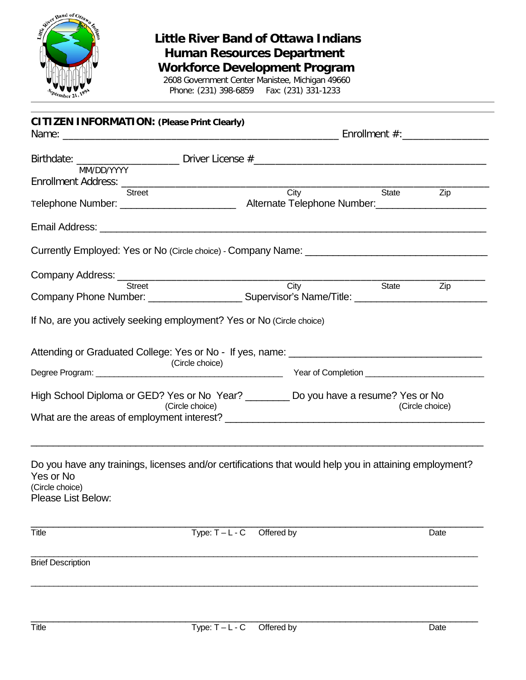

## **Little River Band of Ottawa Indians Human Resources Department**

**Workforce Development Program** 2608 Government Center Manistee, Michigan 49660

Phone: (231) 398-6859 Fax: (231) 331-1233

| MM/DD/YYYY<br><b>Street</b>                                           | City<br><b>State</b>                                                                                   |                 |  |
|-----------------------------------------------------------------------|--------------------------------------------------------------------------------------------------------|-----------------|--|
|                                                                       |                                                                                                        |                 |  |
|                                                                       |                                                                                                        |                 |  |
|                                                                       |                                                                                                        |                 |  |
|                                                                       |                                                                                                        | Zip             |  |
|                                                                       |                                                                                                        |                 |  |
| Email Address: <u>Communication of the Communication</u>              |                                                                                                        |                 |  |
|                                                                       | Currently Employed: Yes or No (Circle choice) - Company Name: ___________________                      |                 |  |
| Company Address: <u>Channel City</u>                                  |                                                                                                        |                 |  |
|                                                                       |                                                                                                        | State<br>Zip    |  |
| If No, are you actively seeking employment? Yes or No (Circle choice) |                                                                                                        |                 |  |
| (Circle choice)                                                       | Attending or Graduated College: Yes or No - If yes, name:                                              |                 |  |
| (Circle choice)                                                       | High School Diploma or GED? Yes or No Year? _________ Do you have a resume? Yes or No                  | (Circle choice) |  |
| Yes or No<br>(Circle choice)<br>Please List Below:                    | Do you have any trainings, licenses and/or certifications that would help you in attaining employment? |                 |  |
| Title                                                                 | $Type: T - L - C$<br>Offered by                                                                        | Date            |  |
| <b>Brief Description</b>                                              |                                                                                                        |                 |  |
|                                                                       |                                                                                                        |                 |  |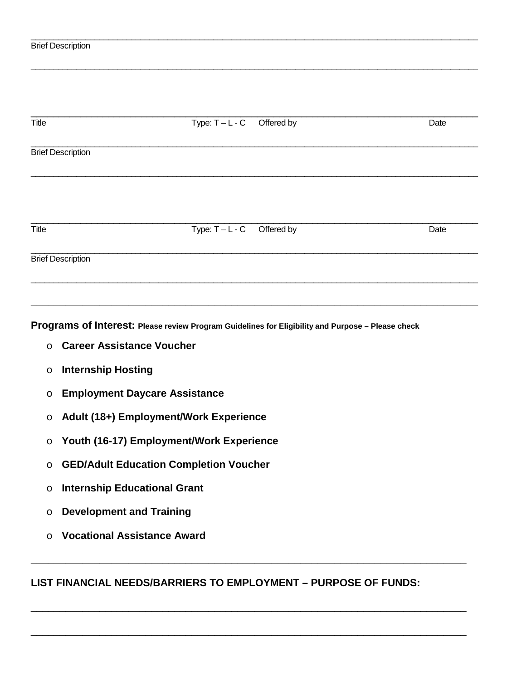|                                   |                              | Type: $T - L - C$ Offered by | Date |
|-----------------------------------|------------------------------|------------------------------|------|
| <b>Brief Description</b>          |                              |                              |      |
|                                   |                              |                              |      |
| Title<br><b>Brief Description</b> | Type: $T - L - C$ Offered by |                              | Date |

**\_\_\_\_\_\_\_\_\_\_\_\_\_\_\_\_\_\_\_\_\_\_\_\_\_\_\_\_\_\_\_\_\_\_\_\_\_\_\_\_\_\_\_\_\_\_\_\_\_\_\_\_\_\_\_\_\_\_\_\_\_\_\_\_\_\_\_\_\_\_\_\_\_\_\_\_\_\_**

\_\_\_\_\_\_\_\_\_\_\_\_\_\_\_\_\_\_\_\_\_\_\_\_\_\_\_\_\_\_\_\_\_\_\_\_\_\_\_\_\_\_\_\_\_\_\_\_\_\_\_\_\_\_\_\_\_\_\_\_\_\_\_\_\_\_\_\_\_\_\_\_\_\_\_\_\_\_\_\_\_\_\_\_\_\_\_\_\_\_\_\_\_\_\_\_\_\_

\_\_\_\_\_\_\_\_\_\_\_\_\_\_\_\_\_\_\_\_\_\_\_\_\_\_\_\_\_\_\_\_\_\_\_\_\_\_\_\_\_\_\_\_\_\_\_\_\_\_\_\_\_\_\_\_\_\_\_\_\_\_\_\_\_\_\_\_\_\_\_\_\_\_\_\_\_\_\_\_\_\_\_\_\_\_\_\_\_\_\_\_\_\_\_\_\_\_

**Programs of Interest: Please review Program Guidelines for Eligibility and Purpose – Please check** 

- o **Career Assistance Voucher**
- o **Internship Hosting**
- o **Employment Daycare Assistance**
- o **Adult (18+) Employment/Work Experience**
- o **Youth (16-17) Employment/Work Experience**
- o **GED/Adult Education Completion Voucher**
- o **Internship Educational Grant**
- o **Development and Training**
- o **Vocational Assistance Award**

## **LIST FINANCIAL NEEDS/BARRIERS TO EMPLOYMENT – PURPOSE OF FUNDS:**

**\_\_\_\_\_\_\_\_\_\_\_\_\_\_\_\_\_\_\_\_\_\_\_\_\_\_\_\_\_\_\_\_\_\_\_\_\_\_\_\_\_\_\_\_\_\_\_\_\_\_\_\_\_\_\_\_\_\_\_\_\_\_\_\_\_\_\_\_\_\_\_\_\_\_\_\_**

\_\_\_\_\_\_\_\_\_\_\_\_\_\_\_\_\_\_\_\_\_\_\_\_\_\_\_\_\_\_\_\_\_\_\_\_\_\_\_\_\_\_\_\_\_\_\_\_\_\_\_\_\_\_\_\_\_\_\_\_\_\_\_\_\_\_\_\_\_\_\_\_\_\_\_\_

\_\_\_\_\_\_\_\_\_\_\_\_\_\_\_\_\_\_\_\_\_\_\_\_\_\_\_\_\_\_\_\_\_\_\_\_\_\_\_\_\_\_\_\_\_\_\_\_\_\_\_\_\_\_\_\_\_\_\_\_\_\_\_\_\_\_\_\_\_\_\_\_\_\_\_\_